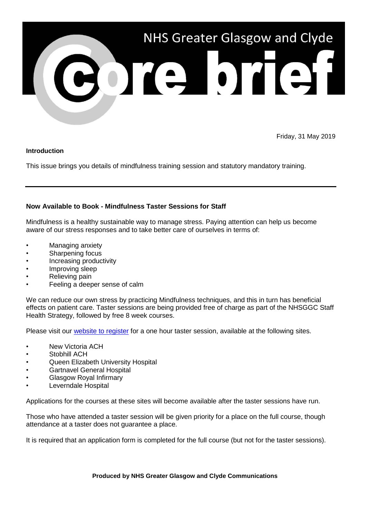

Friday, 31 May 2019

### **Introduction**

This issue brings you details of mindfulness training session and statutory mandatory training.

# **Now Available to Book - Mindfulness Taster Sessions for Staff**

Mindfulness is a healthy sustainable way to manage stress. Paying attention can help us become aware of our stress responses and to take better care of ourselves in terms of:

- Managing anxiety
- Sharpening focus
- Increasing productivity
- Improving sleep
- Relieving pain
- Feeling a deeper sense of calm

We can reduce our own stress by practicing Mindfulness techniques, and this in turn has beneficial effects on patient care. Taster sessions are being provided free of charge as part of the NHSGGC Staff Health Strategy, followed by free 8 week courses.

Please visit our **website to register** for a one hour taster session, available at the following sites.

- **New Victoria ACH**
- Stobhill ACH
- Queen Elizabeth University Hospital
- Gartnavel General Hospital
- Glasgow Royal Infirmary
- Leverndale Hospital

Applications for the courses at these sites will become available after the taster sessions have run.

Those who have attended a taster session will be given priority for a place on the full course, though attendance at a taster does not guarantee a place.

It is required that an application form is completed for the full course (but not for the taster sessions).